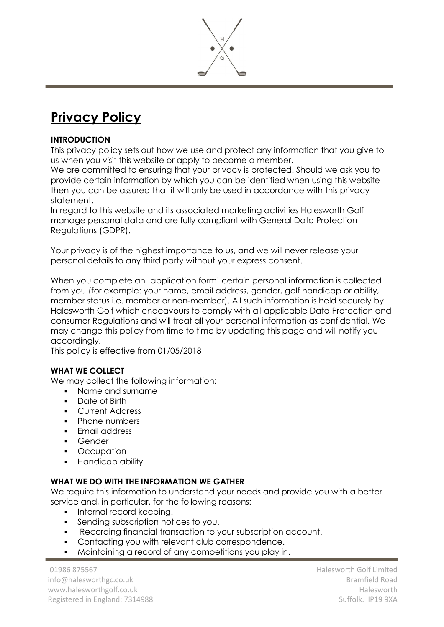

# **Privacy Policy**

#### **INTRODUCTION**

This privacy policy sets out how we use and protect any information that you give to us when you visit this website or apply to become a member.

We are committed to ensuring that your privacy is protected. Should we ask you to provide certain information by which you can be identified when using this website then you can be assured that it will only be used in accordance with this privacy statement.

In regard to this website and its associated marketing activities Halesworth Golf manage personal data and are fully compliant with General Data Protection Regulations (GDPR).

Your privacy is of the highest importance to us, and we will never release your personal details to any third party without your express consent.

When you complete an 'application form' certain personal information is collected from you (for example: your name, email address, gender, golf handicap or ability, member status i.e. member or non-member). All such information is held securely by Halesworth Golf which endeavours to comply with all applicable Data Protection and consumer Regulations and will treat all your personal information as confidential. We may change this policy from time to time by updating this page and will notify you accordingly.

This policy is effective from 01/05/2018

## **WHAT WE COLLECT**

We may collect the following information:

- Name and surname
- Date of Birth
- **Current Address**
- Phone numbers
- Email address
- Gender
- **Occupation**
- Handicap ability

#### **WHAT WE DO WITH THE INFORMATION WE GATHER**

We require this information to understand your needs and provide you with a better service and, in particular, for the following reasons:

- **•** Internal record keeping.
- Sending subscription notices to you.
- Recording financial transaction to your subscription account.
- Contacting you with relevant club correspondence.
- Maintaining a record of any competitions you play in.

01986 875567 info@halesworthgc.co.uk www.halesworthgolf.co.uk Registered in England: 7314988 Halesworth Golf Limited Bramfield Road Halesworth Suffolk. IP19 9XA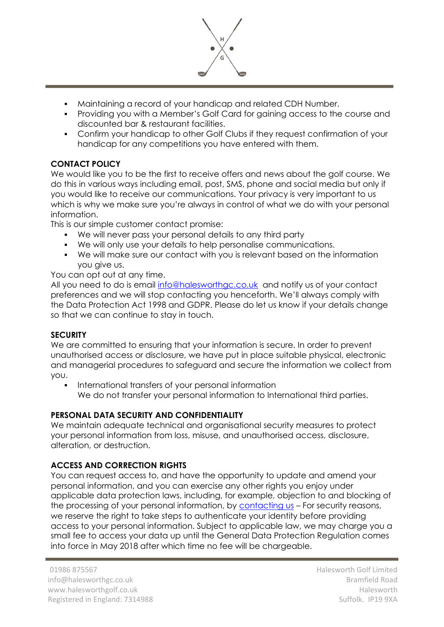

- Maintaining a record of your handicap and related CDH Number.
- Providing you with a Member's Golf Card for gaining access to the course and discounted bar & restaurant facilities.
- **Confirm your handicap to other Golf Clubs if they request confirmation of your** handicap for any competitions you have entered with them.

## **CONTACT POLICY**

We would like you to be the first to receive offers and news about the golf course. We do this in various ways including email, post, SMS, phone and social media but only if you would like to receive our communications. Your privacy is very important to us which is why we make sure you're always in control of what we do with your personal information.

This is our simple customer contact promise:

- We will never pass your personal details to any third party
- We will only use your details to help personalise communications.
- We will make sure our contact with you is relevant based on the information you give us.

You can opt out at any time.

All you need to do is email [info@halesworthgc.co.uk](mailto:info@halesworthgc.co.uk) and notify us of your contact preferences and we will stop contacting you henceforth. We'll always comply with the Data Protection Act 1998 and GDPR. Please do let us know if your details change so that we can continue to stay in touch.

## **SECURITY**

We are committed to ensuring that your information is secure. In order to prevent unauthorised access or disclosure, we have put in place suitable physical, electronic and managerial procedures to safeguard and secure the information we collect from you.

International transfers of your personal information We do not transfer your personal information to International third parties.

## **PERSONAL DATA SECURITY AND CONFIDENTIALITY**

We maintain adequate technical and organisational security measures to protect your personal information from loss, misuse, and unauthorised access, disclosure, alteration, or destruction.

## **ACCESS AND CORRECTION RIGHTS**

You can request access to, and have the opportunity to update and amend your personal information, and you can exercise any other rights you enjoy under applicable data protection laws, including, for example, objection to and blocking of the processing of your personal information, by [contacting us](http://www.stbeesgolfclub.co.uk/contact/) – For security reasons, we reserve the right to take steps to authenticate your identity before providing access to your personal information. Subject to applicable law, we may charge you a small fee to access your data up until the General Data Protection Regulation comes into force in May 2018 after which time no fee will be chargeable.

Halesworth Golf Limited Bramfield Road Halesworth Suffolk. IP19 9XA